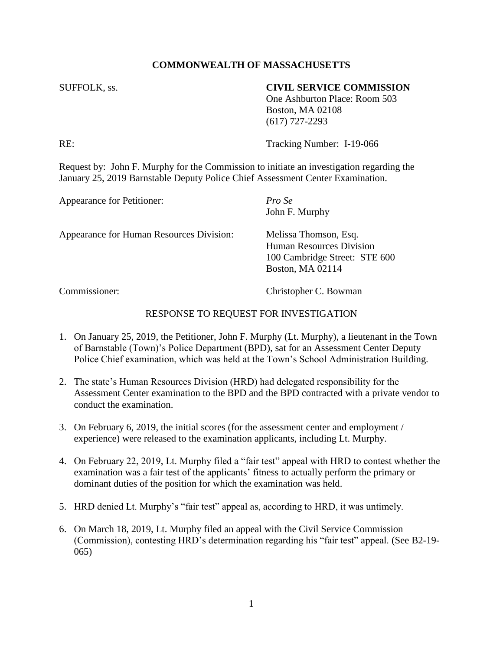## **COMMONWEALTH OF MASSACHUSETTS**

## SUFFOLK, ss. **CIVIL SERVICE COMMISSION**

One Ashburton Place: Room 503 Boston, MA 02108 (617) 727-2293

RE: Tracking Number: I-19-066

Request by: John F. Murphy for the Commission to initiate an investigation regarding the January 25, 2019 Barnstable Deputy Police Chief Assessment Center Examination.

| Appearance for Petitioner:               | Pro Se<br>John F. Murphy                                                                                      |
|------------------------------------------|---------------------------------------------------------------------------------------------------------------|
| Appearance for Human Resources Division: | Melissa Thomson, Esq.<br><b>Human Resources Division</b><br>100 Cambridge Street: STE 600<br>Boston, MA 02114 |

Commissioner: Christopher C. Bowman

## RESPONSE TO REQUEST FOR INVESTIGATION

- 1. On January 25, 2019, the Petitioner, John F. Murphy (Lt. Murphy), a lieutenant in the Town of Barnstable (Town)'s Police Department (BPD), sat for an Assessment Center Deputy Police Chief examination, which was held at the Town's School Administration Building.
- 2. The state's Human Resources Division (HRD) had delegated responsibility for the Assessment Center examination to the BPD and the BPD contracted with a private vendor to conduct the examination.
- 3. On February 6, 2019, the initial scores (for the assessment center and employment / experience) were released to the examination applicants, including Lt. Murphy.
- 4. On February 22, 2019, Lt. Murphy filed a "fair test" appeal with HRD to contest whether the examination was a fair test of the applicants' fitness to actually perform the primary or dominant duties of the position for which the examination was held.
- 5. HRD denied Lt. Murphy's "fair test" appeal as, according to HRD, it was untimely.
- 6. On March 18, 2019, Lt. Murphy filed an appeal with the Civil Service Commission (Commission), contesting HRD's determination regarding his "fair test" appeal. (See B2-19- 065)